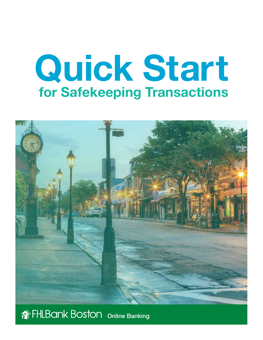# Quick Start for Safekeeping Transactions



## Online Banking Online Banking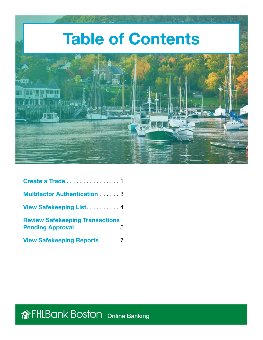

| <b>Multifactor Authentication 3</b>                                                |
|------------------------------------------------------------------------------------|
| View Safekeeping List 1997 - 2008                                                  |
| <b>Review Safekeeping Transactions</b><br><b>Pending Approval</b> Pending Approval |
| <b>View Safekeeping Reports  7</b>                                                 |

**The FHLBank Boston** Online Banking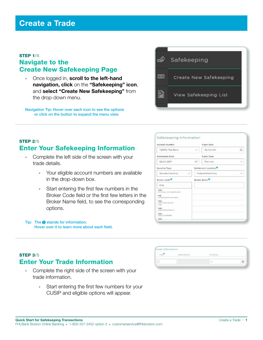#### <span id="page-2-0"></span>STEP 1/5 Navigate to the Create New Safekeeping Page

• Once logged in, scroll to the left-hand navigation, click on the "Safekeeping" icon, and select "Create New Safekeeping" from the drop-down menu.

Navigation Tip: Hover over each icon to see the options or click on the button to expand the menu view.



#### **STEP 2/5** Enter Your Safekeeping Information

- Complete the left side of the screen with your trade details.
	- Your eligible account numbers are available in the drop-down box.
	- Start entering the first few numbers in the Broker Code field or the first few letters in the Broker Name field, to see the corresponding options.

#### Tip: The  $\bigcirc$  stands for information. Hover over it to learn more about each field.

| <b>Account Number</b>                            |                    | <b>Trade Date</b>        |                  |
|--------------------------------------------------|--------------------|--------------------------|------------------|
| 123456 Test Bank                                 | $\sim$             | 08/18/2017               | 面                |
| Sottlement Cate                                  |                    | Trade Type               |                  |
| 08/24/2017                                       | <b>CUT</b>         | Purchase                 | v                |
| Security Type                                    |                    | Settlement Location      |                  |
| $\mathcal{L}_{\mathcal{L}}$<br>Standard Security | Federal Book Entry |                          | $\tau_{\rm eff}$ |
| Broker Code <sup>O</sup>                         |                    | Broker Name <sup>O</sup> |                  |
| ossi                                             |                    |                          |                  |
| oup<br>THE TALENTAL FAILURE AND RECEIVE 12       |                    |                          |                  |
| GILI!<br>CANTON (SE) B CO VIC RECO.              |                    |                          |                  |
| 0922<br>UNIVER BELL EE/UNDS<br>VAG.              |                    |                          |                  |
| OILE<br>HIVENIT SOCURITIES S.M.                  |                    |                          |                  |
| 9326<br>200000<br><b><i>SENIA EDIVER</i></b>     |                    |                          |                  |
| dras.                                            |                    |                          |                  |

#### **STEP 3/5** Enter Your Trade Information

- Complete the right side of the screen with your trade information.
	- Start entering the first few numbers for your CUSIP and eligible options will appear.

| Trade Information |                  |  |
|-------------------|------------------|--|
|                   | declining Face." |  |
|                   |                  |  |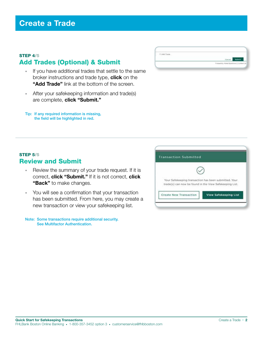#### STEP 4/5 Add Trades (Optional) & Submit

- If you have additional trades that settle to the same broker instructions and trade type, **click** on the "Add Trade" link at the bottom of the screen.
- After your safekeeping information and trade(s) are complete, click "Submit."
- Tip: If any required information is missing, the field will be highlighted in red.

| The property of the con- |                                                                                |
|--------------------------|--------------------------------------------------------------------------------|
|                          |                                                                                |
|                          | <b>START COMPOSE</b><br>the control of the control of the<br><b>STATISTICS</b> |

# **Transaction Submitted** Your Safekeeping transaction has been submitted. Your trade(s) can now be found in the View Safekeeping List. Create New Transaction **View Safekeeping List**

#### **STEP 5/5** Review and Submit

- Review the summary of your trade request. If it is correct, click "Submit." If it is not correct, click "Back" to make changes.
- You will see a confirmation that your transaction has been submitted. From here, you may create a new transaction or view your safekeeping list.

Note: Some transactions require additional security. See Multifactor Authentication.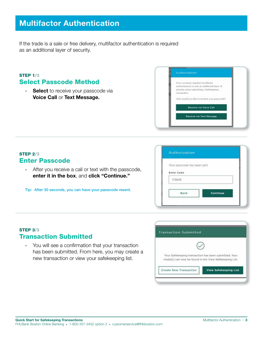### <span id="page-4-0"></span>Multifactor Authentication

If the trade is a sale or free delivery, multifactor authentication is required as an additional layer of security.

#### STEP 1/3 Select Passcode Method

• Select to receive your passcode via Voice Call or Text Message.

| Your company requires multifactor                                                                       |
|---------------------------------------------------------------------------------------------------------|
| authentication to add an additional layer of.<br>security when submitting a Safekeeping<br>transaction. |
| How would you like to receive your passcade?                                                            |
| Receive via Voice Call                                                                                  |
| <b>Receive via Text Message</b>                                                                         |

#### STEP 2/3 Enter Passcode

• After you receive a call or text with the passcode, enter it in the box, and click "Continue."

Tip: After 30 seconds, you can have your passcode resent.

| Your passcode has been sent. |          |  |
|------------------------------|----------|--|
| <b>Enter Code</b>            |          |  |
| 173641                       |          |  |
|                              |          |  |
| <b>Back</b>                  | Continue |  |

#### STEP 3/3 Transaction Submitted

• You will see a confirmation that your transaction has been submitted. From here, you may create a new transaction or view your safekeeping list.

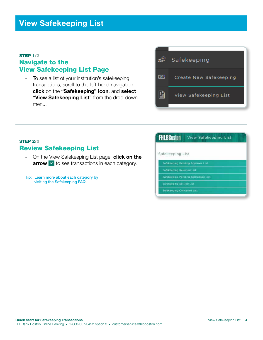#### <span id="page-5-0"></span>STEP 1/2 Navigate to the View Safekeeping List Page

• To see a list of your institution's safekeeping transactions, scroll to the left-hand navigation, click on the "Safekeeping" icon, and select "View Safekeeping List" from the drop-down menu.



#### STEP 2/2 Review Safekeeping List

- On the View Safekeeping List page, click on the  $arrow \times$  to see transactions in each category.
- Tip: Learn more about each category by visiting the Safekeeping FAQ.

| <b>FHLBBoston</b>          | View Safekeeping List             |
|----------------------------|-----------------------------------|
| Safekeeping List           |                                   |
|                            | Safekeeping Pending Approval List |
| Safekeeping Relected List. |                                   |

- 
- Safekeeping Settled List
- Safekeeping Cancelled List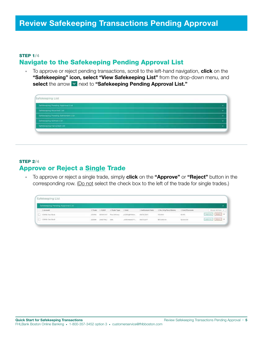#### <span id="page-6-0"></span>STEP 1/4 Navigate to the Safekeeping Pending Approval List

• To approve or reject pending transactions, scroll to the left-hand navigation, **click** on the "Safekeeping" icon, select "View Safekeeping List" from the drop-down menu, and select the arrow v next to "Safekeeping Pending Approval List."

| Safekeeping List                     |  |  |                          |
|--------------------------------------|--|--|--------------------------|
| Saferenping Pending Approval Ltd.    |  |  |                          |
| <b>Satureping Rejected List</b>      |  |  | نماذ                     |
| Safeweighing Pending Settlement List |  |  | $\overline{\phantom{a}}$ |
| <b>Talmeeping Settles List -</b>     |  |  |                          |
| Sateweeping Cancelled Litt.          |  |  |                          |
|                                      |  |  |                          |

#### STEP 2/4 Approve or Reject a Single Trade

• To approve or reject a single trade, simply **click** on the "Approve" or "Reject" button in the corresponding row. (Do not select the check box to the left of the trade for single trades.)

| Safekeeping List                  |           |           |                 |                 |                   |                        |                  |                             |
|-----------------------------------|-----------|-----------|-----------------|-----------------|-------------------|------------------------|------------------|-----------------------------|
| Safekeeping Pending Approval List |           |           |                 |                 |                   |                        |                  |                             |
| <b>Tukidakat</b>                  | 3. Través | I CUSH    | 1. Trade Type 1 | $-1$ Mass       | I Settlement Dale | 1 Par Orly Face/Stairs | L'Cest/Processie | distant detilized the       |
| 133416 Text Rock                  | 222490    | SEASCES!  | Print Deltowy   | profit ophobios | mello/2017        | 103,000                | \$0.00           | Approve L. L. Aniett, J. M. |
| 1 123454 Text Book                | 222439    | JANUTZNEZ | <b>Tare</b>     | ARRAIGHT TO     | <b>ORTHURST</b>   | \$10,000.00            | 11300.00         | Annual Rabert               |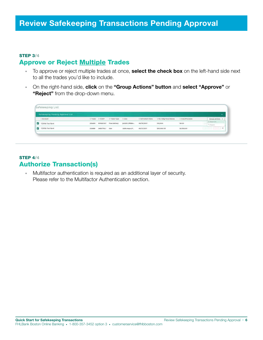#### STEP 3/4 Approve or Reject Multiple Trades

- To approve or reject multiple trades at once, select the check box on the left-hand side next to all the trades you'd like to include.
- On the right-hand side, click on the "Group Actions" button and select "Approve" or "Reject" from the drop-down menu.

|                 | ~                          |
|-----------------|----------------------------|
| I Cast/Processe | Group Attions A            |
| \$0.00          | U. Autorities<br>To Geleri |
|                 | \$2,500.00                 |

#### STEP 4/4 Authorize Transaction(s)

• Multifactor authentication is required as an additional layer of security. Please refer to the [Multifactor Authentication](#page-4-0) section.